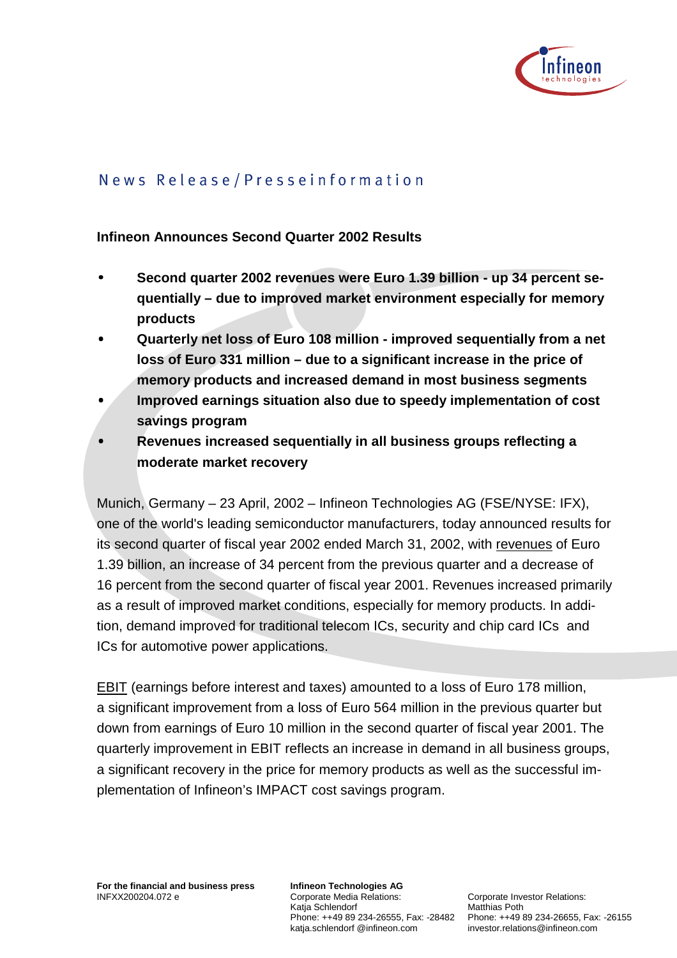

# News Release/Presseinformation

#### **Infineon Announces Second Quarter 2002 Results**

- • **Second quarter 2002 revenues were Euro 1.39 billion up 34 percent sequentially – due to improved market environment especially for memory products**
- • **Quarterly net loss of Euro 108 million improved sequentially from a net loss of Euro 331 million – due to a significant increase in the price of memory products and increased demand in most business segments**
- • **Improved earnings situation also due to speedy implementation of cost savings program**
- • **Revenues increased sequentially in all business groups reflecting a moderate market recovery**

Munich, Germany – 23 April, 2002 – Infineon Technologies AG (FSE/NYSE: IFX), one of the world's leading semiconductor manufacturers, today announced results for its second quarter of fiscal year 2002 ended March 31, 2002, with revenues of Euro 1.39 billion, an increase of 34 percent from the previous quarter and a decrease of 16 percent from the second quarter of fiscal year 2001. Revenues increased primarily as a result of improved market conditions, especially for memory products. In addition, demand improved for traditional telecom ICs, security and chip card ICs and ICs for automotive power applications.

EBIT (earnings before interest and taxes) amounted to a loss of Euro 178 million, a significant improvement from a loss of Euro 564 million in the previous quarter but down from earnings of Euro 10 million in the second quarter of fiscal year 2001. The quarterly improvement in EBIT reflects an increase in demand in all business groups, a significant recovery in the price for memory products as well as the successful implementation of Infineon's IMPACT cost savings program.

**Infineon Technologies AG**  Corporate Media Relations: Katja Schlendorf katja.schlendorf @infineon.com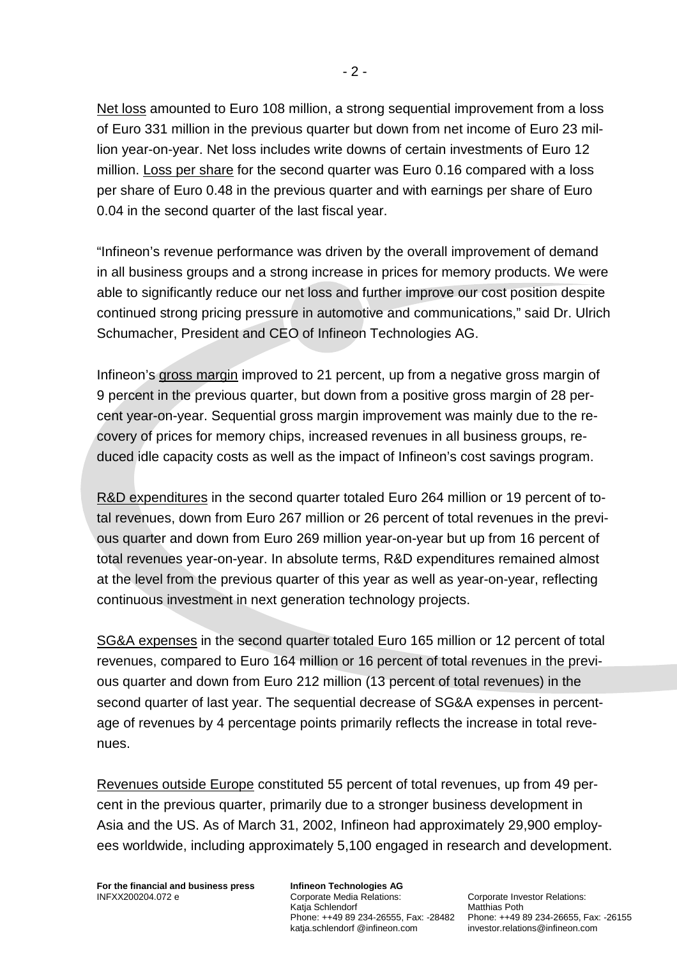Net loss amounted to Euro 108 million, a strong sequential improvement from a loss of Euro 331 million in the previous quarter but down from net income of Euro 23 million year-on-year. Net loss includes write downs of certain investments of Euro 12 million. Loss per share for the second quarter was Euro 0.16 compared with a loss per share of Euro 0.48 in the previous quarter and with earnings per share of Euro 0.04 in the second quarter of the last fiscal year.

"Infineon's revenue performance was driven by the overall improvement of demand in all business groups and a strong increase in prices for memory products. We were able to significantly reduce our net loss and further improve our cost position despite continued strong pricing pressure in automotive and communications," said Dr. Ulrich Schumacher, President and CEO of Infineon Technologies AG.

Infineon's gross margin improved to 21 percent, up from a negative gross margin of 9 percent in the previous quarter, but down from a positive gross margin of 28 percent year-on-year. Sequential gross margin improvement was mainly due to the recovery of prices for memory chips, increased revenues in all business groups, reduced idle capacity costs as well as the impact of Infineon's cost savings program.

R&D expenditures in the second quarter totaled Euro 264 million or 19 percent of total revenues, down from Euro 267 million or 26 percent of total revenues in the previous quarter and down from Euro 269 million year-on-year but up from 16 percent of total revenues year-on-year. In absolute terms, R&D expenditures remained almost at the level from the previous quarter of this year as well as year-on-year, reflecting continuous investment in next generation technology projects.

SG&A expenses in the second quarter totaled Euro 165 million or 12 percent of total revenues, compared to Euro 164 million or 16 percent of total revenues in the previous quarter and down from Euro 212 million (13 percent of total revenues) in the second quarter of last year. The sequential decrease of SG&A expenses in percentage of revenues by 4 percentage points primarily reflects the increase in total revenues.

Revenues outside Europe constituted 55 percent of total revenues, up from 49 percent in the previous quarter, primarily due to a stronger business development in Asia and the US. As of March 31, 2002, Infineon had approximately 29,900 employees worldwide, including approximately 5,100 engaged in research and development.

**For the financial and business press**  INFXX200204.072 e

**Infineon Technologies AG**  Corporate Media Relations: Katja Schlendorf katja.schlendorf @infineon.com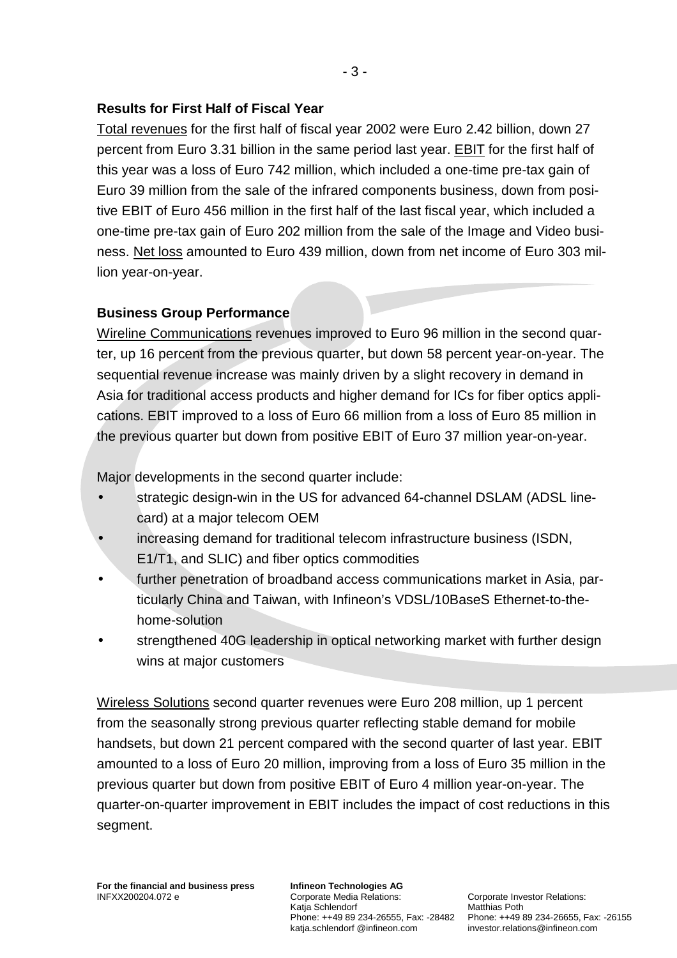### **Results for First Half of Fiscal Year**

Total revenues for the first half of fiscal year 2002 were Euro 2.42 billion, down 27 percent from Euro 3.31 billion in the same period last year. EBIT for the first half of this year was a loss of Euro 742 million, which included a one-time pre-tax gain of Euro 39 million from the sale of the infrared components business, down from positive EBIT of Euro 456 million in the first half of the last fiscal year, which included a one-time pre-tax gain of Euro 202 million from the sale of the Image and Video business. Net loss amounted to Euro 439 million, down from net income of Euro 303 million year-on-year.

## **Business Group Performance**

Wireline Communications revenues improved to Euro 96 million in the second quarter, up 16 percent from the previous quarter, but down 58 percent year-on-year. The sequential revenue increase was mainly driven by a slight recovery in demand in Asia for traditional access products and higher demand for ICs for fiber optics applications. EBIT improved to a loss of Euro 66 million from a loss of Euro 85 million in the previous quarter but down from positive EBIT of Euro 37 million year-on-year.

Major developments in the second quarter include:

- strategic design-win in the US for advanced 64-channel DSLAM (ADSL linecard) at a major telecom OEM
- increasing demand for traditional telecom infrastructure business (ISDN, E1/T1, and SLIC) and fiber optics commodities
- further penetration of broadband access communications market in Asia, particularly China and Taiwan, with Infineon's VDSL/10BaseS Ethernet-to-thehome-solution
- strengthened 40G leadership in optical networking market with further design wins at major customers

Wireless Solutions second quarter revenues were Euro 208 million, up 1 percent from the seasonally strong previous quarter reflecting stable demand for mobile handsets, but down 21 percent compared with the second quarter of last year. EBIT amounted to a loss of Euro 20 million, improving from a loss of Euro 35 million in the previous quarter but down from positive EBIT of Euro 4 million year-on-year. The quarter-on-quarter improvement in EBIT includes the impact of cost reductions in this segment.

**Infineon Technologies AG**  Corporate Media Relations: Katja Schlendorf katja.schlendorf @infineon.com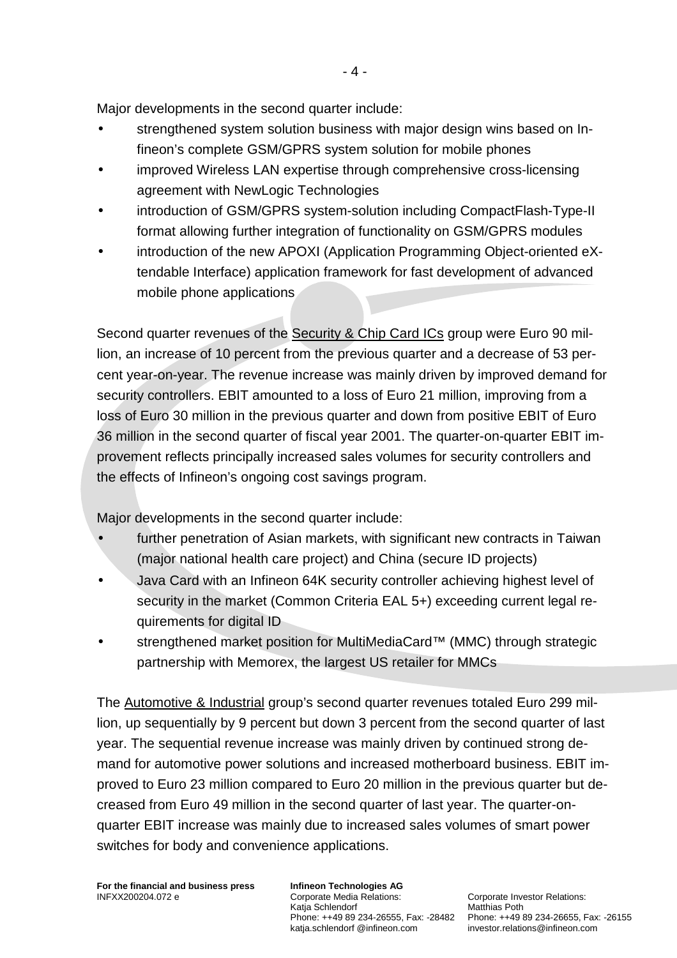Major developments in the second quarter include:

- strengthened system solution business with major design wins based on Infineon's complete GSM/GPRS system solution for mobile phones
- improved Wireless LAN expertise through comprehensive cross-licensing agreement with NewLogic Technologies
- introduction of GSM/GPRS system-solution including CompactFlash-Type-II format allowing further integration of functionality on GSM/GPRS modules
- introduction of the new APOXI (Application Programming Object-oriented eXtendable Interface) application framework for fast development of advanced mobile phone applications

Second quarter revenues of the Security & Chip Card ICs group were Euro 90 million, an increase of 10 percent from the previous quarter and a decrease of 53 percent year-on-year. The revenue increase was mainly driven by improved demand for security controllers. EBIT amounted to a loss of Euro 21 million, improving from a loss of Euro 30 million in the previous quarter and down from positive EBIT of Euro 36 million in the second quarter of fiscal year 2001. The quarter-on-quarter EBIT improvement reflects principally increased sales volumes for security controllers and the effects of Infineon's ongoing cost savings program.

Major developments in the second quarter include:

- further penetration of Asian markets, with significant new contracts in Taiwan (major national health care project) and China (secure ID projects)
- Java Card with an Infineon 64K security controller achieving highest level of security in the market (Common Criteria EAL 5+) exceeding current legal requirements for digital ID
- strengthened market position for MultiMediaCard™ (MMC) through strategic partnership with Memorex, the largest US retailer for MMCs

The Automotive & Industrial group's second quarter revenues totaled Euro 299 million, up sequentially by 9 percent but down 3 percent from the second quarter of last year. The sequential revenue increase was mainly driven by continued strong demand for automotive power solutions and increased motherboard business. EBIT improved to Euro 23 million compared to Euro 20 million in the previous quarter but decreased from Euro 49 million in the second quarter of last year. The quarter-onquarter EBIT increase was mainly due to increased sales volumes of smart power switches for body and convenience applications.

**Infineon Technologies AG**  Corporate Media Relations: Katja Schlendorf katja.schlendorf @infineon.com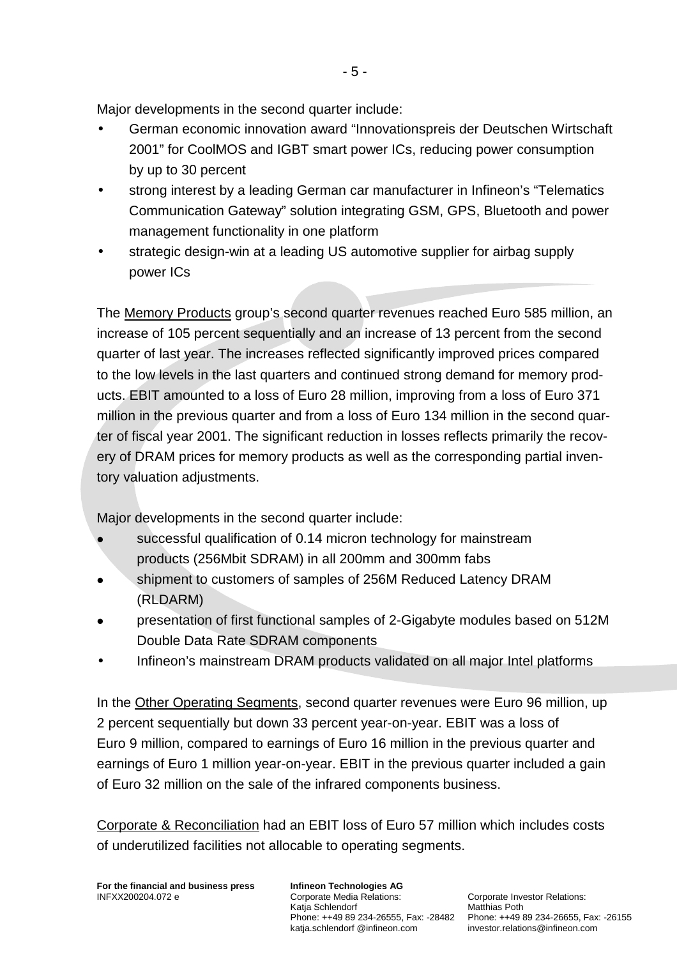Major developments in the second quarter include:

- German economic innovation award "Innovationspreis der Deutschen Wirtschaft 2001" for CoolMOS and IGBT smart power ICs, reducing power consumption by up to 30 percent
- strong interest by a leading German car manufacturer in Infineon's "Telematics Communication Gateway" solution integrating GSM, GPS, Bluetooth and power management functionality in one platform
- strategic design-win at a leading US automotive supplier for airbag supply power ICs

The Memory Products group's second quarter revenues reached Euro 585 million, an increase of 105 percent sequentially and an increase of 13 percent from the second quarter of last year. The increases reflected significantly improved prices compared to the low levels in the last quarters and continued strong demand for memory products. EBIT amounted to a loss of Euro 28 million, improving from a loss of Euro 371 million in the previous quarter and from a loss of Euro 134 million in the second quarter of fiscal year 2001. The significant reduction in losses reflects primarily the recovery of DRAM prices for memory products as well as the corresponding partial inventory valuation adjustments.

Major developments in the second quarter include:

- successful qualification of 0.14 micron technology for mainstream products (256Mbit SDRAM) in all 200mm and 300mm fabs
- Shipment to customers of samples of 256M Reduced Latency DRAM (RLDARM)
- ! presentation of first functional samples of 2-Gigabyte modules based on 512M Double Data Rate SDRAM components
- Infineon's mainstream DRAM products validated on all major Intel platforms

In the Other Operating Segments, second quarter revenues were Euro 96 million, up 2 percent sequentially but down 33 percent year-on-year. EBIT was a loss of Euro 9 million, compared to earnings of Euro 16 million in the previous quarter and earnings of Euro 1 million year-on-year. EBIT in the previous quarter included a gain of Euro 32 million on the sale of the infrared components business.

Corporate & Reconciliation had an EBIT loss of Euro 57 million which includes costs of underutilized facilities not allocable to operating segments.

**For the financial and business press**  INFXX200204.072 e

**Infineon Technologies AG**  Corporate Media Relations: Katja Schlendorf katja.schlendorf @infineon.com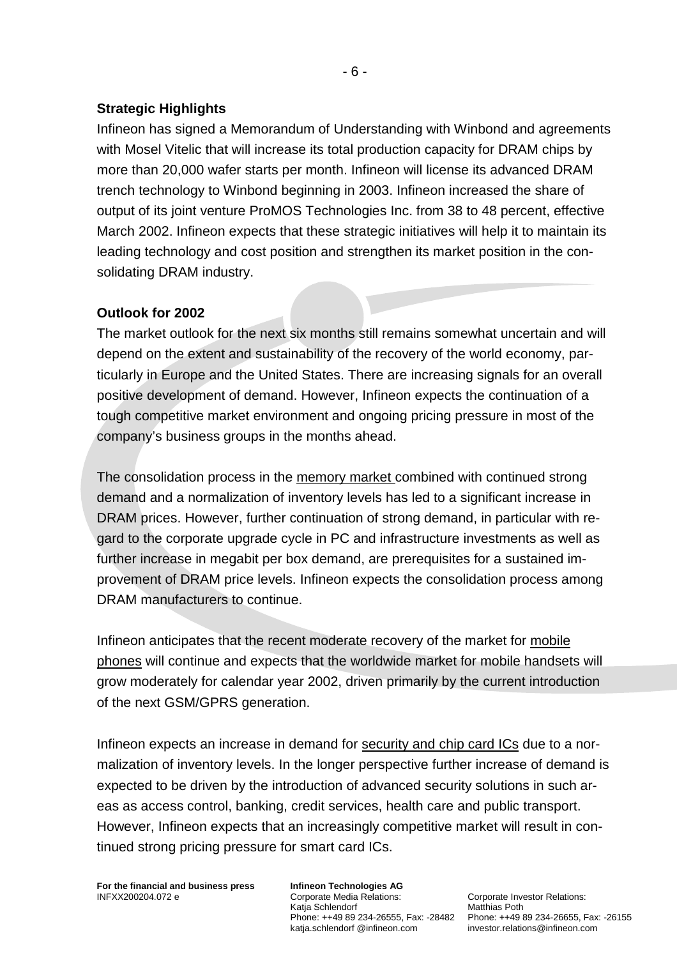### **Strategic Highlights**

Infineon has signed a Memorandum of Understanding with Winbond and agreements with Mosel Vitelic that will increase its total production capacity for DRAM chips by more than 20,000 wafer starts per month. Infineon will license its advanced DRAM trench technology to Winbond beginning in 2003. Infineon increased the share of output of its joint venture ProMOS Technologies Inc. from 38 to 48 percent, effective March 2002. Infineon expects that these strategic initiatives will help it to maintain its leading technology and cost position and strengthen its market position in the consolidating DRAM industry.

## **Outlook for 2002**

The market outlook for the next six months still remains somewhat uncertain and will depend on the extent and sustainability of the recovery of the world economy, particularly in Europe and the United States. There are increasing signals for an overall positive development of demand. However, Infineon expects the continuation of a tough competitive market environment and ongoing pricing pressure in most of the company's business groups in the months ahead.

The consolidation process in the memory market combined with continued strong demand and a normalization of inventory levels has led to a significant increase in DRAM prices. However, further continuation of strong demand, in particular with regard to the corporate upgrade cycle in PC and infrastructure investments as well as further increase in megabit per box demand, are prerequisites for a sustained improvement of DRAM price levels. Infineon expects the consolidation process among DRAM manufacturers to continue.

Infineon anticipates that the recent moderate recovery of the market for mobile phones will continue and expects that the worldwide market for mobile handsets will grow moderately for calendar year 2002, driven primarily by the current introduction of the next GSM/GPRS generation.

Infineon expects an increase in demand for security and chip card ICs due to a normalization of inventory levels. In the longer perspective further increase of demand is expected to be driven by the introduction of advanced security solutions in such areas as access control, banking, credit services, health care and public transport. However, Infineon expects that an increasingly competitive market will result in continued strong pricing pressure for smart card ICs.

**For the financial and business press**  INFXX200204.072 e

**Infineon Technologies AG**  Corporate Media Relations: Katja Schlendorf katja.schlendorf @infineon.com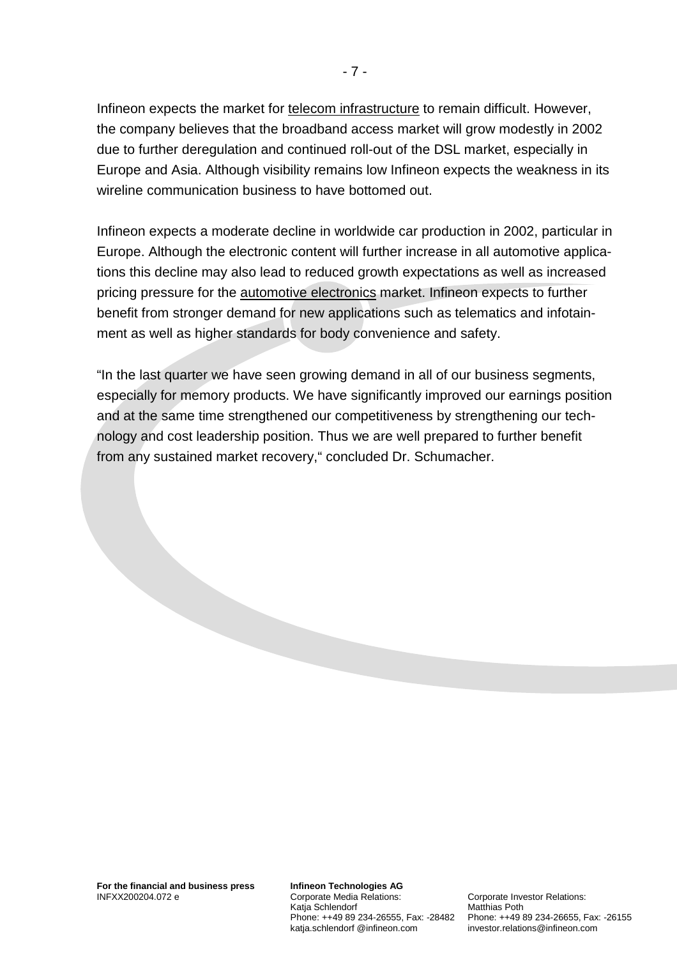Infineon expects the market for telecom infrastructure to remain difficult. However, the company believes that the broadband access market will grow modestly in 2002 due to further deregulation and continued roll-out of the DSL market, especially in Europe and Asia. Although visibility remains low Infineon expects the weakness in its wireline communication business to have bottomed out.

Infineon expects a moderate decline in worldwide car production in 2002, particular in Europe. Although the electronic content will further increase in all automotive applications this decline may also lead to reduced growth expectations as well as increased pricing pressure for the automotive electronics market. Infineon expects to further benefit from stronger demand for new applications such as telematics and infotainment as well as higher standards for body convenience and safety.

"In the last quarter we have seen growing demand in all of our business segments, especially for memory products. We have significantly improved our earnings position and at the same time strengthened our competitiveness by strengthening our technology and cost leadership position. Thus we are well prepared to further benefit from any sustained market recovery," concluded Dr. Schumacher.

**Infineon Technologies AG**  Corporate Media Relations: Katja Schlendorf katja.schlendorf @infineon.com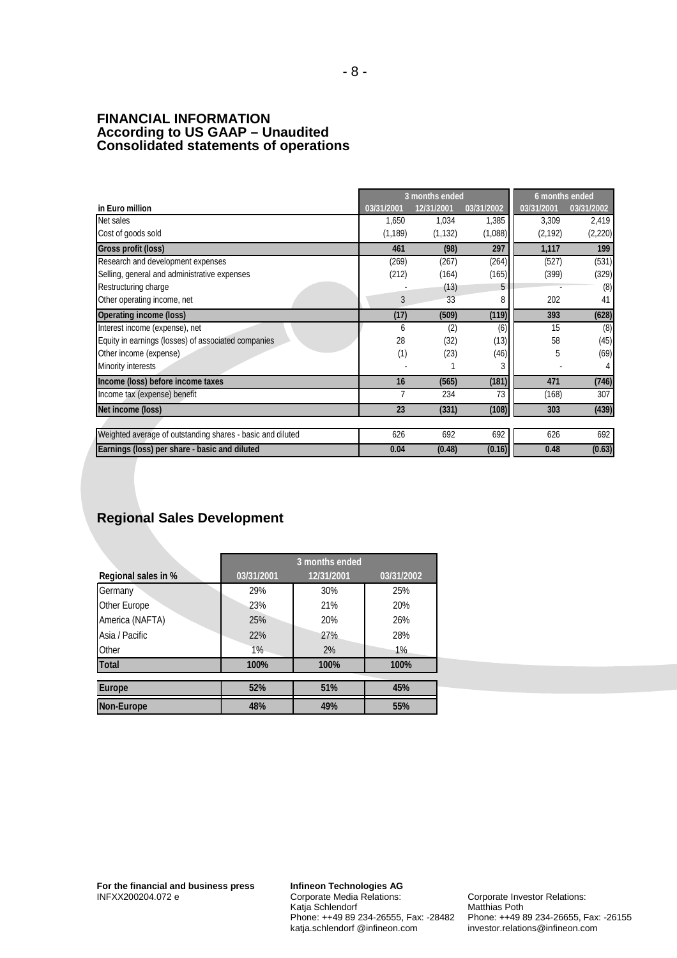#### **FINANCIAL INFORMATION According to US GAAP – Unaudited Consolidated statements of operations**

|                                                            | 3 months ended |            |            | 6 months ended |            |
|------------------------------------------------------------|----------------|------------|------------|----------------|------------|
| in Euro million                                            | 03/31/2001     | 12/31/2001 | 03/31/2002 | 03/31/2001     | 03/31/2002 |
| Net sales                                                  | 1.650          | 1,034      | 1,385      | 3,309          | 2,419      |
| Cost of goods sold                                         | (1, 189)       | (1, 132)   | (1,088)    | (2, 192)       | (2, 220)   |
| Gross profit (loss)                                        | 461            | (98)       | 297        | 1,117          | 199        |
| Research and development expenses                          | (269)          | (267)      | (264)      | (527)          | (531)      |
| Selling, general and administrative expenses               | (212)          | (164)      | (165)      | (399)          | (329)      |
| Restructuring charge                                       |                | (13)       |            |                | (8)        |
| Other operating income, net                                | 3              | 33         | 8          | 202            | 41         |
| Operating income (loss)                                    | (17)           | (509)      | (119)      | 393            | (628)      |
| Interest income (expense), net                             | 6              | (2)        | (6)        | 15             | (8)        |
| Equity in earnings (losses) of associated companies        | 28             | (32)       | (13)       | 58             | (45)       |
| Other income (expense)                                     | (1)            | (23)       | (46)       | 5              | (69)       |
| Minority interests                                         |                |            |            |                |            |
| Income (loss) before income taxes                          | 16             | (565)      | (181)      | 471            | (746)      |
| Income tax (expense) benefit                               | 7              | 234        | 73         | (168)          | 307        |
| Net income (loss)                                          | 23             | (331)      | (108)      | 303            | (439)      |
|                                                            |                |            |            |                |            |
| Weighted average of outstanding shares - basic and diluted | 626            | 692        | 692        | 626            | 692        |
| Earnings (loss) per share - basic and diluted              | 0.04           | (0.48)     | (0.16)     | 0.48           | (0.63)     |

## **Regional Sales Development**

|                     | 3 months ended |            |            |  |  |
|---------------------|----------------|------------|------------|--|--|
| Regional sales in % | 03/31/2001     | 12/31/2001 | 03/31/2002 |  |  |
| Germany             | 29%            | 30%        | 25%        |  |  |
| Other Europe        | 23%            | 21%        | 20%        |  |  |
| America (NAFTA)     | 25%            | 20%        | 26%        |  |  |
| Asia / Pacific      | 22%            | 27%        | 28%        |  |  |
| Other               | 1%             | 2%         | 1%         |  |  |
| <b>Total</b>        | 100%           | 100%       | 100%       |  |  |
|                     |                |            |            |  |  |
| <b>Europe</b>       | 52%            | 51%        | 45%        |  |  |
| Non-Europe          | 48%            | 49%        | 55%        |  |  |

**Infineon Technologies AG**  Corporate Media Relations: Katja Schlendorf Phone: ++49 89 234-26555, Fax: -28482 katja.schlendorf @infineon.com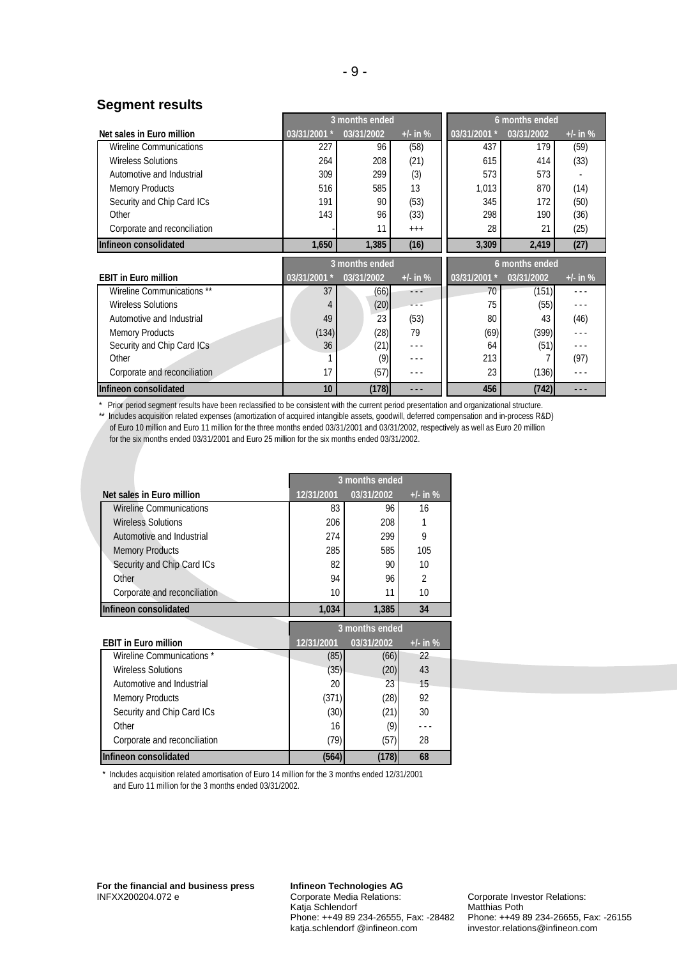#### **Segment results**

|                                | 3 months ended |            |                      |              | 6 months ended |            |
|--------------------------------|----------------|------------|----------------------|--------------|----------------|------------|
| Net sales in Euro million      | 03/31/2001 *   | 03/31/2002 | $+/-$ in %           | 03/31/2001 * | 03/31/2002     | $+/-$ in % |
| <b>Wireline Communications</b> | 227            | 96         | (58)                 | 437          | 179            | (59)       |
| <b>Wireless Solutions</b>      | 264            | 208        | (21)                 | 615          | 414            | (33)       |
| Automotive and Industrial      | 309            | 299        | (3)                  | 573          | 573            |            |
| <b>Memory Products</b>         | 516            | 585        | 13                   | 1,013        | 870            | (14)       |
| Security and Chip Card ICs     | 191            | 90         | (53)                 | 345          | 172            | (50)       |
| Other                          | 143            | 96         | (33)                 | 298          | 190            | (36)       |
| Corporate and reconciliation   |                | 11         | $+++$                | 28           | 21             | (25)       |
| Infineon consolidated          | 1,650          | 1,385      | (16)                 | 3,309        | 2,419          | (27)       |
|                                | 3 months ended |            |                      |              |                |            |
|                                |                |            |                      |              | 6 months ended |            |
| <b>EBIT in Euro million</b>    | 03/31/2001 *   | 03/31/2002 | $+/-$ in %           | 03/31/2001 * | 03/31/2002     | $+/-$ in % |
| Wireline Communications **     | 37             | (66)       | - - -                | 70           | (151)          | .          |
| <b>Wireless Solutions</b>      | 4              | (20)       | .                    | 75           | (55)           | .          |
| Automotive and Industrial      | 49             | 23         | (53)                 | 80           | 43             | (46)       |
| <b>Memory Products</b>         | (134)          | (28)       | 79                   | (69)         | (399)          | .          |
| Security and Chip Card ICs     | 36             | (21)       | $\sim$ $\sim$ $\sim$ | 64           | (51)           | .          |
| Other                          |                | (9)        | .                    | 213          |                | (97)       |
| Corporate and reconciliation   | 17             | (57)       | .                    | 23           | (136)          | .          |

\* Prior period segment results have been reclassified to be consistent with the current period presentation and organizational structure.<br>\*\* Includes acquisition related exponses (amortization of acquired intangible assets

Includes acquisition related expenses (amortization of acquired intangible assets, goodwill, deferred compensation and in-process R&D) of Euro 10 million and Euro 11 million for the three months ended 03/31/2001 and 03/31/2002, respectively as well as Euro 20 million for the six months ended 03/31/2001 and Euro 25 million for the six months ended 03/31/2002.

|                                | 3 months ended |            |                |  |  |
|--------------------------------|----------------|------------|----------------|--|--|
| Net sales in Euro million      | 12/31/2001     | 03/31/2002 | $+/-$ in $%$   |  |  |
| <b>Wireline Communications</b> | 83             | 96         | 16             |  |  |
| <b>Wireless Solutions</b>      | 206            | 208        |                |  |  |
| Automotive and Industrial      | 274            | 299        | 9              |  |  |
| <b>Memory Products</b>         | 285            | 585        | 105            |  |  |
| Security and Chip Card ICs     | 82             | 90         | 10             |  |  |
| Other                          | 94             | 96         | $\mathfrak{D}$ |  |  |
| Corporate and reconciliation   | 10             | 11         | 10             |  |  |
| Infineon consolidated          | 1,034          | 1,385      | 34             |  |  |
|                                | 3 months ended |            |                |  |  |
|                                |                |            |                |  |  |
| <b>EBIT in Euro million</b>    | 12/31/2001     | 03/31/2002 | $+/-$ in %     |  |  |
| Wireline Communications *      | (85)           | (66)       | 22             |  |  |
| <b>Wireless Solutions</b>      | (35)           | (20)       | 43             |  |  |
| Automotive and Industrial      | 20             | 23         | 15             |  |  |
| <b>Memory Products</b>         | (371)          | (28)       | 92             |  |  |
| Security and Chip Card ICs     | (30)           | (21)       | 30             |  |  |
| Other                          | 16             | (9)        |                |  |  |
| Corporate and reconciliation   | (79)           | (57)       | 28             |  |  |

\* Includes acquisition related amortisation of Euro 14 million for the 3 months ended 12/31/2001 and Euro 11 million for the 3 months ended 03/31/2002.

**Infineon Technologies AG**  Corporate Media Relations: Katja Schlendorf Phone: ++49 89 234-26555, Fax: -28482 katja.schlendorf @infineon.com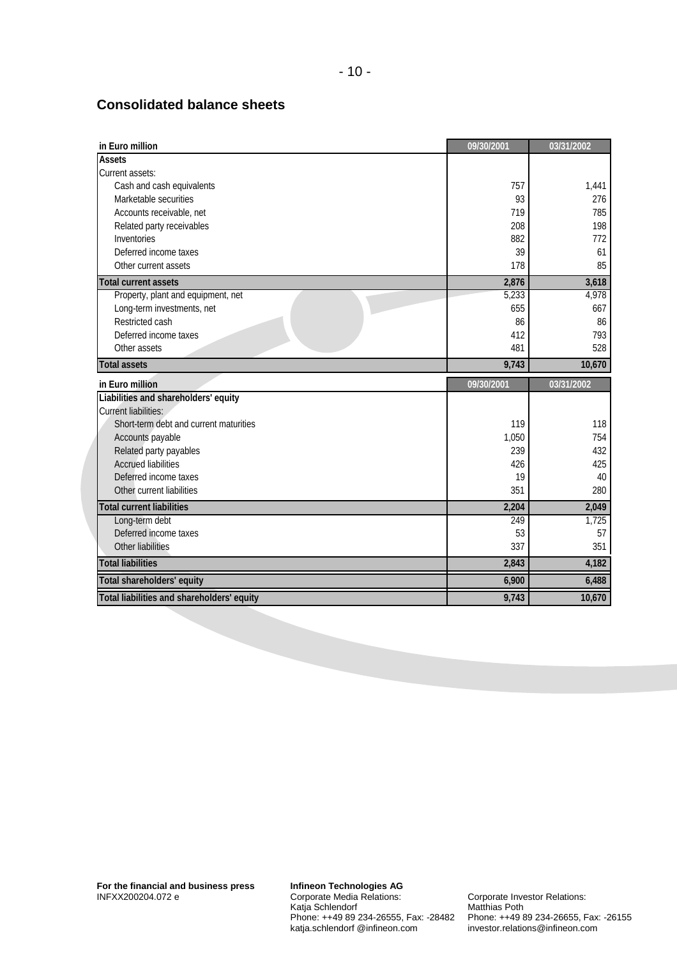#### **Consolidated balance sheets**

| in Euro million                        | 09/30/2001 | 03/31/2002 |
|----------------------------------------|------------|------------|
| <b>Assets</b>                          |            |            |
| Current assets:                        |            |            |
| Cash and cash equivalents              | 757        | 1,441      |
| Marketable securities                  | 93         | 276        |
| Accounts receivable, net               | 719        | 785        |
| Related party receivables              | 208        | 198        |
| Inventories                            | 882        | 772        |
| Deferred income taxes                  | 39         | 61         |
| Other current assets                   | 178        | 85         |
| <b>Total current assets</b>            | 2,876      | 3,618      |
| Property, plant and equipment, net     | 5,233      | 4,978      |
| Long-term investments, net             | 655        | 667        |
| Restricted cash                        | 86         | 86         |
| Deferred income taxes                  | 412        | 793        |
| Other assets                           | 481        | 528        |
| <b>Total assets</b>                    | 9,743      | 10,670     |
|                                        |            |            |
| in Euro million                        | 09/30/2001 | 03/31/2002 |
| Liabilities and shareholders' equity   |            |            |
| <b>Current liabilities:</b>            |            |            |
| Short-term debt and current maturities | 119        | 118        |
| Accounts payable                       | 1,050      | 754        |
| Related party payables                 | 239        | 432        |
| <b>Accrued liabilities</b>             | 426        | 425        |
| Deferred income taxes                  | 19         | 40         |
| Other current liabilities              | 351        | 280        |
| <b>Total current liabilities</b>       | 2,204      | 2,049      |
| Long-term debt                         | 249        | 1,725      |
| Deferred income taxes                  | 53         | 57         |
| Other liabilities                      | 337        | 351        |
| <b>Total liabilities</b>               | 2,843      | 4,182      |
| <b>Total shareholders' equity</b>      | 6,900      | 6,488      |

**Infineon Technologies AG**  Corporate Media Relations: Katja Schlendorf Phone: ++49 89 234-26555, Fax: -28482 katja.schlendorf @infineon.com